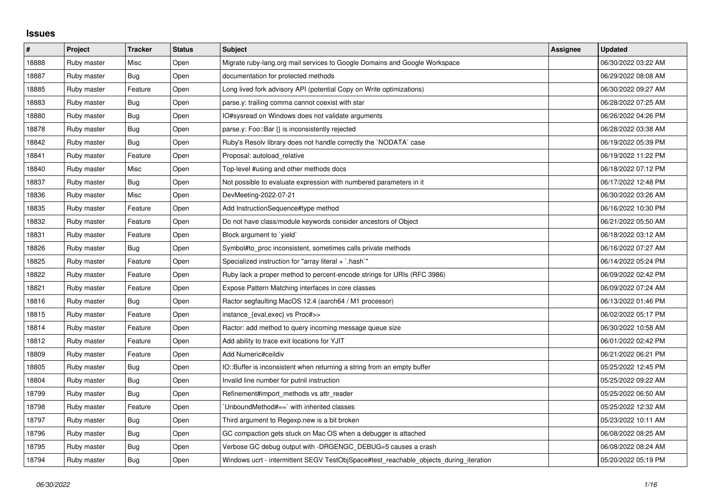## **Issues**

| $\#$  | Project     | <b>Tracker</b> | <b>Status</b> | <b>Subject</b>                                                                        | Assignee | <b>Updated</b>      |
|-------|-------------|----------------|---------------|---------------------------------------------------------------------------------------|----------|---------------------|
| 18888 | Ruby master | Misc           | Open          | Migrate ruby-lang.org mail services to Google Domains and Google Workspace            |          | 06/30/2022 03:22 AM |
| 18887 | Ruby master | Bug            | Open          | documentation for protected methods                                                   |          | 06/29/2022 08:08 AM |
| 18885 | Ruby master | Feature        | Open          | Long lived fork advisory API (potential Copy on Write optimizations)                  |          | 06/30/2022 09:27 AM |
| 18883 | Ruby master | <b>Bug</b>     | Open          | parse.y: trailing comma cannot coexist with star                                      |          | 06/28/2022 07:25 AM |
| 18880 | Ruby master | Bug            | Open          | IO#sysread on Windows does not validate arguments                                     |          | 06/26/2022 04:26 PM |
| 18878 | Ruby master | Bug            | Open          | parse.y: Foo::Bar {} is inconsistently rejected                                       |          | 06/28/2022 03:38 AM |
| 18842 | Ruby master | Bug            | Open          | Ruby's Resolv library does not handle correctly the `NODATA` case                     |          | 06/19/2022 05:39 PM |
| 18841 | Ruby master | Feature        | Open          | Proposal: autoload relative                                                           |          | 06/19/2022 11:22 PM |
| 18840 | Ruby master | Misc           | Open          | Top-level #using and other methods docs                                               |          | 06/18/2022 07:12 PM |
| 18837 | Ruby master | Bug            | Open          | Not possible to evaluate expression with numbered parameters in it                    |          | 06/17/2022 12:48 PM |
| 18836 | Ruby master | Misc           | Open          | DevMeeting-2022-07-21                                                                 |          | 06/30/2022 03:26 AM |
| 18835 | Ruby master | Feature        | Open          | Add InstructionSequence#type method                                                   |          | 06/16/2022 10:30 PM |
| 18832 | Ruby master | Feature        | Open          | Do not have class/module keywords consider ancestors of Object                        |          | 06/21/2022 05:50 AM |
| 18831 | Ruby master | Feature        | Open          | Block argument to `yield`                                                             |          | 06/18/2022 03:12 AM |
| 18826 | Ruby master | Bug            | Open          | Symbol#to_proc inconsistent, sometimes calls private methods                          |          | 06/16/2022 07:27 AM |
| 18825 | Ruby master | Feature        | Open          | Specialized instruction for "array literal $+$ `.hash`"                               |          | 06/14/2022 05:24 PM |
| 18822 | Ruby master | Feature        | Open          | Ruby lack a proper method to percent-encode strings for URIs (RFC 3986)               |          | 06/09/2022 02:42 PM |
| 18821 | Ruby master | Feature        | Open          | Expose Pattern Matching interfaces in core classes                                    |          | 06/09/2022 07:24 AM |
| 18816 | Ruby master | <b>Bug</b>     | Open          | Ractor segfaulting MacOS 12.4 (aarch64 / M1 processor)                                |          | 06/13/2022 01:46 PM |
| 18815 | Ruby master | Feature        | Open          | instance_{eval,exec} vs Proc#>>                                                       |          | 06/02/2022 05:17 PM |
| 18814 | Ruby master | Feature        | Open          | Ractor: add method to query incoming message queue size                               |          | 06/30/2022 10:58 AM |
| 18812 | Ruby master | Feature        | Open          | Add ability to trace exit locations for YJIT                                          |          | 06/01/2022 02:42 PM |
| 18809 | Ruby master | Feature        | Open          | Add Numeric#ceildiv                                                                   |          | 06/21/2022 06:21 PM |
| 18805 | Ruby master | <b>Bug</b>     | Open          | IO::Buffer is inconsistent when returning a string from an empty buffer               |          | 05/25/2022 12:45 PM |
| 18804 | Ruby master | Bug            | Open          | Invalid line number for putnil instruction                                            |          | 05/25/2022 09:22 AM |
| 18799 | Ruby master | Bug            | Open          | Refinement#import methods vs attr reader                                              |          | 05/25/2022 06:50 AM |
| 18798 | Ruby master | Feature        | Open          | UnboundMethod#==`with inherited classes                                               |          | 05/25/2022 12:32 AM |
| 18797 | Ruby master | Bug            | Open          | Third argument to Regexp.new is a bit broken                                          |          | 05/23/2022 10:11 AM |
| 18796 | Ruby master | <b>Bug</b>     | Open          | GC compaction gets stuck on Mac OS when a debugger is attached                        |          | 06/08/2022 08:25 AM |
| 18795 | Ruby master | <b>Bug</b>     | Open          | Verbose GC debug output with -DRGENGC_DEBUG=5 causes a crash                          |          | 06/08/2022 08:24 AM |
| 18794 | Ruby master | Bug            | Open          | Windows ucrt - intermittent SEGV TestObjSpace#test reachable objects during iteration |          | 05/20/2022 05:19 PM |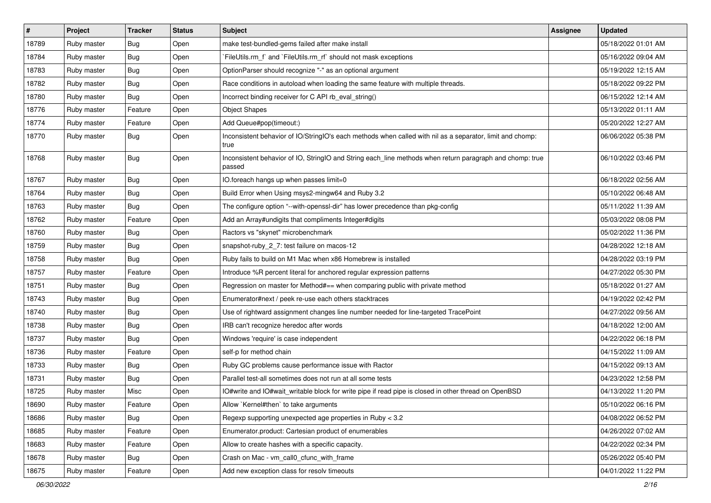| $\sharp$ | Project     | <b>Tracker</b> | <b>Status</b> | Subject                                                                                                            | Assignee | <b>Updated</b>      |
|----------|-------------|----------------|---------------|--------------------------------------------------------------------------------------------------------------------|----------|---------------------|
| 18789    | Ruby master | Bug            | Open          | make test-bundled-gems failed after make install                                                                   |          | 05/18/2022 01:01 AM |
| 18784    | Ruby master | <b>Bug</b>     | Open          | FileUtils.rm_f` and `FileUtils.rm_rf` should not mask exceptions                                                   |          | 05/16/2022 09:04 AM |
| 18783    | Ruby master | <b>Bug</b>     | Open          | OptionParser should recognize "-" as an optional argument                                                          |          | 05/19/2022 12:15 AM |
| 18782    | Ruby master | <b>Bug</b>     | Open          | Race conditions in autoload when loading the same feature with multiple threads.                                   |          | 05/18/2022 09:22 PM |
| 18780    | Ruby master | Bug            | Open          | Incorrect binding receiver for C API rb_eval_string()                                                              |          | 06/15/2022 12:14 AM |
| 18776    | Ruby master | Feature        | Open          | <b>Object Shapes</b>                                                                                               |          | 05/13/2022 01:11 AM |
| 18774    | Ruby master | Feature        | Open          | Add Queue#pop(timeout:)                                                                                            |          | 05/20/2022 12:27 AM |
| 18770    | Ruby master | Bug            | Open          | Inconsistent behavior of IO/StringIO's each methods when called with nil as a separator, limit and chomp:<br>true  |          | 06/06/2022 05:38 PM |
| 18768    | Ruby master | <b>Bug</b>     | Open          | Inconsistent behavior of IO, StringIO and String each_line methods when return paragraph and chomp: true<br>passed |          | 06/10/2022 03:46 PM |
| 18767    | Ruby master | <b>Bug</b>     | Open          | IO.foreach hangs up when passes limit=0                                                                            |          | 06/18/2022 02:56 AM |
| 18764    | Ruby master | Bug            | Open          | Build Error when Using msys2-mingw64 and Ruby 3.2                                                                  |          | 05/10/2022 06:48 AM |
| 18763    | Ruby master | <b>Bug</b>     | Open          | The configure option "--with-openssl-dir" has lower precedence than pkg-config                                     |          | 05/11/2022 11:39 AM |
| 18762    | Ruby master | Feature        | Open          | Add an Array#undigits that compliments Integer#digits                                                              |          | 05/03/2022 08:08 PM |
| 18760    | Ruby master | <b>Bug</b>     | Open          | Ractors vs "skynet" microbenchmark                                                                                 |          | 05/02/2022 11:36 PM |
| 18759    | Ruby master | <b>Bug</b>     | Open          | snapshot-ruby_2_7: test failure on macos-12                                                                        |          | 04/28/2022 12:18 AM |
| 18758    | Ruby master | Bug            | Open          | Ruby fails to build on M1 Mac when x86 Homebrew is installed                                                       |          | 04/28/2022 03:19 PM |
| 18757    | Ruby master | Feature        | Open          | Introduce %R percent literal for anchored regular expression patterns                                              |          | 04/27/2022 05:30 PM |
| 18751    | Ruby master | Bug            | Open          | Regression on master for Method#== when comparing public with private method                                       |          | 05/18/2022 01:27 AM |
| 18743    | Ruby master | <b>Bug</b>     | Open          | Enumerator#next / peek re-use each others stacktraces                                                              |          | 04/19/2022 02:42 PM |
| 18740    | Ruby master | Bug            | Open          | Use of rightward assignment changes line number needed for line-targeted TracePoint                                |          | 04/27/2022 09:56 AM |
| 18738    | Ruby master | <b>Bug</b>     | Open          | IRB can't recognize heredoc after words                                                                            |          | 04/18/2022 12:00 AM |
| 18737    | Ruby master | <b>Bug</b>     | Open          | Windows 'require' is case independent                                                                              |          | 04/22/2022 06:18 PM |
| 18736    | Ruby master | Feature        | Open          | self-p for method chain                                                                                            |          | 04/15/2022 11:09 AM |
| 18733    | Ruby master | Bug            | Open          | Ruby GC problems cause performance issue with Ractor                                                               |          | 04/15/2022 09:13 AM |
| 18731    | Ruby master | <b>Bug</b>     | Open          | Parallel test-all sometimes does not run at all some tests                                                         |          | 04/23/2022 12:58 PM |
| 18725    | Ruby master | Misc           | Open          | IO#write and IO#wait_writable block for write pipe if read pipe is closed in other thread on OpenBSD               |          | 04/13/2022 11:20 PM |
| 18690    | Ruby master | Feature        | Open          | Allow `Kernel#then` to take arguments                                                                              |          | 05/10/2022 06:16 PM |
| 18686    | Ruby master | <b>Bug</b>     | Open          | Regexp supporting unexpected age properties in Ruby < 3.2                                                          |          | 04/08/2022 06:52 PM |
| 18685    | Ruby master | Feature        | Open          | Enumerator.product: Cartesian product of enumerables                                                               |          | 04/26/2022 07:02 AM |
| 18683    | Ruby master | Feature        | Open          | Allow to create hashes with a specific capacity.                                                                   |          | 04/22/2022 02:34 PM |
| 18678    | Ruby master | <b>Bug</b>     | Open          | Crash on Mac - vm_call0_cfunc_with_frame                                                                           |          | 05/26/2022 05:40 PM |
| 18675    | Ruby master | Feature        | Open          | Add new exception class for resolv timeouts                                                                        |          | 04/01/2022 11:22 PM |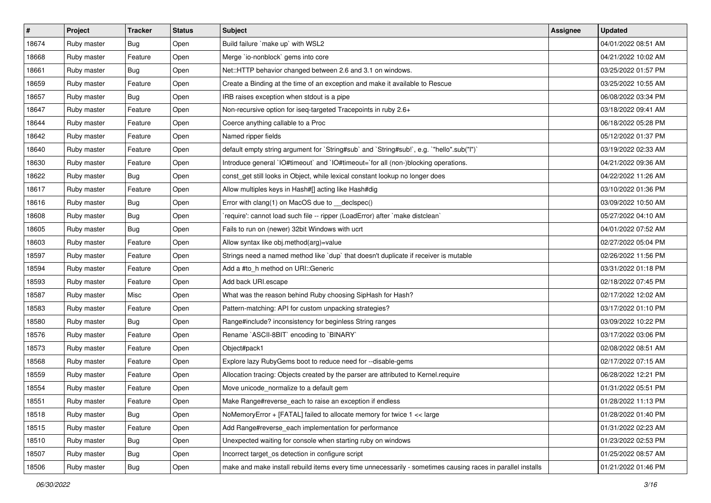| $\vert$ # | Project     | <b>Tracker</b> | <b>Status</b> | <b>Subject</b>                                                                                              | Assignee | <b>Updated</b>      |
|-----------|-------------|----------------|---------------|-------------------------------------------------------------------------------------------------------------|----------|---------------------|
| 18674     | Ruby master | Bug            | Open          | Build failure `make up` with WSL2                                                                           |          | 04/01/2022 08:51 AM |
| 18668     | Ruby master | Feature        | Open          | Merge `io-nonblock` gems into core                                                                          |          | 04/21/2022 10:02 AM |
| 18661     | Ruby master | Bug            | Open          | Net::HTTP behavior changed between 2.6 and 3.1 on windows.                                                  |          | 03/25/2022 01:57 PM |
| 18659     | Ruby master | Feature        | Open          | Create a Binding at the time of an exception and make it available to Rescue                                |          | 03/25/2022 10:55 AM |
| 18657     | Ruby master | Bug            | Open          | IRB raises exception when stdout is a pipe                                                                  |          | 06/08/2022 03:34 PM |
| 18647     | Ruby master | Feature        | Open          | Non-recursive option for iseq-targeted Tracepoints in ruby 2.6+                                             |          | 03/18/2022 09:41 AM |
| 18644     | Ruby master | Feature        | Open          | Coerce anything callable to a Proc                                                                          |          | 06/18/2022 05:28 PM |
| 18642     | Ruby master | Feature        | Open          | Named ripper fields                                                                                         |          | 05/12/2022 01:37 PM |
| 18640     | Ruby master | Feature        | Open          | default empty string argument for `String#sub` and `String#sub!`, e.g. `"hello".sub("I")`                   |          | 03/19/2022 02:33 AM |
| 18630     | Ruby master | Feature        | Open          | Introduce general `IO#timeout` and `IO#timeout=`for all (non-)blocking operations.                          |          | 04/21/2022 09:36 AM |
| 18622     | Ruby master | Bug            | Open          | const_get still looks in Object, while lexical constant lookup no longer does                               |          | 04/22/2022 11:26 AM |
| 18617     | Ruby master | Feature        | Open          | Allow multiples keys in Hash#[] acting like Hash#dig                                                        |          | 03/10/2022 01:36 PM |
| 18616     | Ruby master | Bug            | Open          | Error with clang(1) on MacOS due to __declspec()                                                            |          | 03/09/2022 10:50 AM |
| 18608     | Ruby master | Bug            | Open          | `require': cannot load such file -- ripper (LoadError) after `make distclean`                               |          | 05/27/2022 04:10 AM |
| 18605     | Ruby master | Bug            | Open          | Fails to run on (newer) 32bit Windows with ucrt                                                             |          | 04/01/2022 07:52 AM |
| 18603     | Ruby master | Feature        | Open          | Allow syntax like obj.method(arg)=value                                                                     |          | 02/27/2022 05:04 PM |
| 18597     | Ruby master | Feature        | Open          | Strings need a named method like `dup` that doesn't duplicate if receiver is mutable                        |          | 02/26/2022 11:56 PM |
| 18594     | Ruby master | Feature        | Open          | Add a #to h method on URI:: Generic                                                                         |          | 03/31/2022 01:18 PM |
| 18593     | Ruby master | Feature        | Open          | Add back URI.escape                                                                                         |          | 02/18/2022 07:45 PM |
| 18587     | Ruby master | Misc           | Open          | What was the reason behind Ruby choosing SipHash for Hash?                                                  |          | 02/17/2022 12:02 AM |
| 18583     | Ruby master | Feature        | Open          | Pattern-matching: API for custom unpacking strategies?                                                      |          | 03/17/2022 01:10 PM |
| 18580     | Ruby master | Bug            | Open          | Range#include? inconsistency for beginless String ranges                                                    |          | 03/09/2022 10:22 PM |
| 18576     | Ruby master | Feature        | Open          | Rename `ASCII-8BIT` encoding to `BINARY`                                                                    |          | 03/17/2022 03:06 PM |
| 18573     | Ruby master | Feature        | Open          | Object#pack1                                                                                                |          | 02/08/2022 08:51 AM |
| 18568     | Ruby master | Feature        | Open          | Explore lazy RubyGems boot to reduce need for --disable-gems                                                |          | 02/17/2022 07:15 AM |
| 18559     | Ruby master | Feature        | Open          | Allocation tracing: Objects created by the parser are attributed to Kernel.require                          |          | 06/28/2022 12:21 PM |
| 18554     | Ruby master | Feature        | Open          | Move unicode_normalize to a default gem                                                                     |          | 01/31/2022 05:51 PM |
| 18551     | Ruby master | Feature        | Open          | Make Range#reverse_each to raise an exception if endless                                                    |          | 01/28/2022 11:13 PM |
| 18518     | Ruby master | Bug            | Open          | NoMemory Error $+$ [FATAL] failed to allocate memory for twice $1 <$ karge                                  |          | 01/28/2022 01:40 PM |
| 18515     | Ruby master | Feature        | Open          | Add Range#reverse_each implementation for performance                                                       |          | 01/31/2022 02:23 AM |
| 18510     | Ruby master | Bug            | Open          | Unexpected waiting for console when starting ruby on windows                                                |          | 01/23/2022 02:53 PM |
| 18507     | Ruby master | <b>Bug</b>     | Open          | Incorrect target os detection in configure script                                                           |          | 01/25/2022 08:57 AM |
| 18506     | Ruby master | Bug            | Open          | make and make install rebuild items every time unnecessarily - sometimes causing races in parallel installs |          | 01/21/2022 01:46 PM |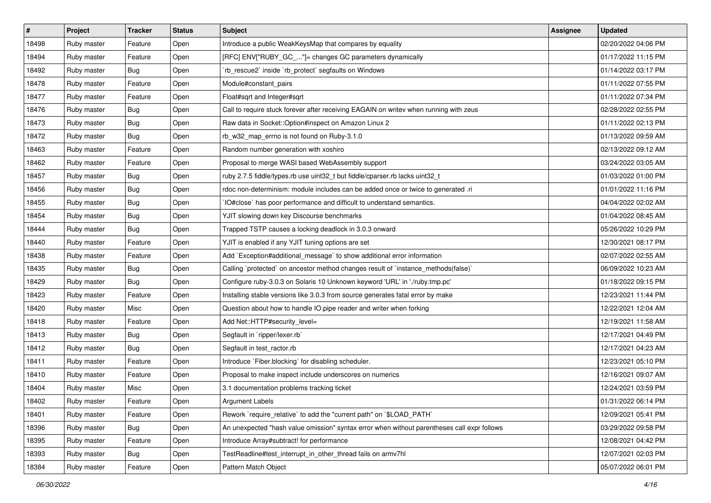| $\vert$ # | Project     | <b>Tracker</b> | <b>Status</b> | <b>Subject</b>                                                                              | <b>Assignee</b> | <b>Updated</b>      |
|-----------|-------------|----------------|---------------|---------------------------------------------------------------------------------------------|-----------------|---------------------|
| 18498     | Ruby master | Feature        | Open          | Introduce a public WeakKeysMap that compares by equality                                    |                 | 02/20/2022 04:06 PM |
| 18494     | Ruby master | Feature        | Open          | [RFC] ENV["RUBY_GC_"]= changes GC parameters dynamically                                    |                 | 01/17/2022 11:15 PM |
| 18492     | Ruby master | Bug            | Open          | `rb_rescue2` inside `rb_protect` segfaults on Windows                                       |                 | 01/14/2022 03:17 PM |
| 18478     | Ruby master | Feature        | Open          | Module#constant_pairs                                                                       |                 | 01/11/2022 07:55 PM |
| 18477     | Ruby master | Feature        | Open          | Float#sqrt and Integer#sqrt                                                                 |                 | 01/11/2022 07:34 PM |
| 18476     | Ruby master | <b>Bug</b>     | Open          | Call to require stuck forever after receiving EAGAIN on writev when running with zeus       |                 | 02/28/2022 02:55 PM |
| 18473     | Ruby master | <b>Bug</b>     | Open          | Raw data in Socket::Option#inspect on Amazon Linux 2                                        |                 | 01/11/2022 02:13 PM |
| 18472     | Ruby master | <b>Bug</b>     | Open          | rb_w32_map_errno is not found on Ruby-3.1.0                                                 |                 | 01/13/2022 09:59 AM |
| 18463     | Ruby master | Feature        | Open          | Random number generation with xoshiro                                                       |                 | 02/13/2022 09:12 AM |
| 18462     | Ruby master | Feature        | Open          | Proposal to merge WASI based WebAssembly support                                            |                 | 03/24/2022 03:05 AM |
| 18457     | Ruby master | Bug            | Open          | ruby 2.7.5 fiddle/types.rb use uint32_t but fiddle/cparser.rb lacks uint32_t                |                 | 01/03/2022 01:00 PM |
| 18456     | Ruby master | <b>Bug</b>     | Open          | rdoc non-determinism: module includes can be added once or twice to generated .ri           |                 | 01/01/2022 11:16 PM |
| 18455     | Ruby master | <b>Bug</b>     | Open          | IO#close` has poor performance and difficult to understand semantics.                       |                 | 04/04/2022 02:02 AM |
| 18454     | Ruby master | <b>Bug</b>     | Open          | YJIT slowing down key Discourse benchmarks                                                  |                 | 01/04/2022 08:45 AM |
| 18444     | Ruby master | <b>Bug</b>     | Open          | Trapped TSTP causes a locking deadlock in 3.0.3 onward                                      |                 | 05/26/2022 10:29 PM |
| 18440     | Ruby master | Feature        | Open          | YJIT is enabled if any YJIT tuning options are set                                          |                 | 12/30/2021 08:17 PM |
| 18438     | Ruby master | Feature        | Open          | Add `Exception#additional_message` to show additional error information                     |                 | 02/07/2022 02:55 AM |
| 18435     | Ruby master | Bug            | Open          | Calling `protected` on ancestor method changes result of `instance_methods(false)`          |                 | 06/09/2022 10:23 AM |
| 18429     | Ruby master | <b>Bug</b>     | Open          | Configure ruby-3.0.3 on Solaris 10 Unknown keyword 'URL' in './ruby.tmp.pc'                 |                 | 01/18/2022 09:15 PM |
| 18423     | Ruby master | Feature        | Open          | Installing stable versions like 3.0.3 from source generates fatal error by make             |                 | 12/23/2021 11:44 PM |
| 18420     | Ruby master | Misc           | Open          | Question about how to handle IO.pipe reader and writer when forking                         |                 | 12/22/2021 12:04 AM |
| 18418     | Ruby master | Feature        | Open          | Add Net::HTTP#security_level=                                                               |                 | 12/19/2021 11:58 AM |
| 18413     | Ruby master | Bug            | Open          | Segfault in `ripper/lexer.rb`                                                               |                 | 12/17/2021 04:49 PM |
| 18412     | Ruby master | Bug            | Open          | Segfault in test_ractor.rb                                                                  |                 | 12/17/2021 04:23 AM |
| 18411     | Ruby master | Feature        | Open          | Introduce `Fiber.blocking` for disabling scheduler.                                         |                 | 12/23/2021 05:10 PM |
| 18410     | Ruby master | Feature        | Open          | Proposal to make inspect include underscores on numerics                                    |                 | 12/16/2021 09:07 AM |
| 18404     | Ruby master | Misc           | Open          | 3.1 documentation problems tracking ticket                                                  |                 | 12/24/2021 03:59 PM |
| 18402     | Ruby master | Feature        | Open          | <b>Argument Labels</b>                                                                      |                 | 01/31/2022 06:14 PM |
| 18401     | Ruby master | Feature        | Open          | Rework `require_relative` to add the "current path" on `\$LOAD_PATH`                        |                 | 12/09/2021 05:41 PM |
| 18396     | Ruby master | Bug            | Open          | An unexpected "hash value omission" syntax error when without parentheses call expr follows |                 | 03/29/2022 09:58 PM |
| 18395     | Ruby master | Feature        | Open          | Introduce Array#subtract! for performance                                                   |                 | 12/08/2021 04:42 PM |
| 18393     | Ruby master | <b>Bug</b>     | Open          | TestReadline#test_interrupt_in_other_thread fails on armv7hl                                |                 | 12/07/2021 02:03 PM |
| 18384     | Ruby master | Feature        | Open          | Pattern Match Object                                                                        |                 | 05/07/2022 06:01 PM |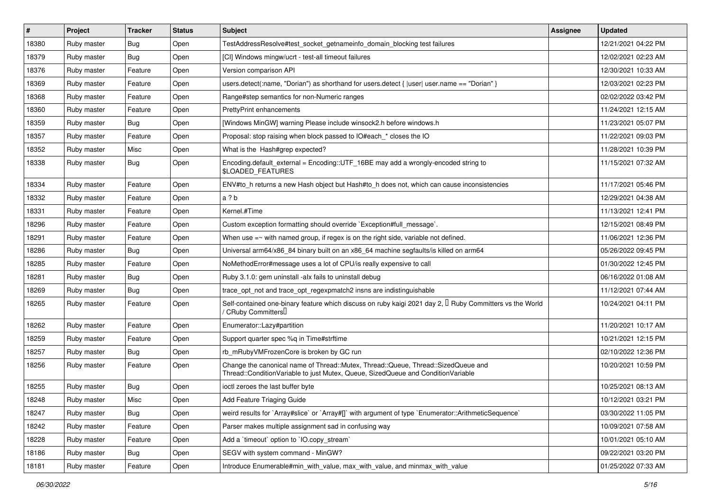| $\vert$ # | Project     | <b>Tracker</b> | <b>Status</b> | <b>Subject</b>                                                                                                                                                        | <b>Assignee</b> | <b>Updated</b>      |
|-----------|-------------|----------------|---------------|-----------------------------------------------------------------------------------------------------------------------------------------------------------------------|-----------------|---------------------|
| 18380     | Ruby master | <b>Bug</b>     | Open          | TestAddressResolve#test_socket_getnameinfo_domain_blocking test failures                                                                                              |                 | 12/21/2021 04:22 PM |
| 18379     | Ruby master | <b>Bug</b>     | Open          | [CI] Windows mingw/ucrt - test-all timeout failures                                                                                                                   |                 | 12/02/2021 02:23 AM |
| 18376     | Ruby master | Feature        | Open          | Version comparison API                                                                                                                                                |                 | 12/30/2021 10:33 AM |
| 18369     | Ruby master | Feature        | Open          | users.detect(:name, "Dorian") as shorthand for users.detect { $ user $ user.name == "Dorian" }                                                                        |                 | 12/03/2021 02:23 PM |
| 18368     | Ruby master | Feature        | Open          | Range#step semantics for non-Numeric ranges                                                                                                                           |                 | 02/02/2022 03:42 PM |
| 18360     | Ruby master | Feature        | Open          | <b>PrettyPrint enhancements</b>                                                                                                                                       |                 | 11/24/2021 12:15 AM |
| 18359     | Ruby master | <b>Bug</b>     | Open          | [Windows MinGW] warning Please include winsock2.h before windows.h                                                                                                    |                 | 11/23/2021 05:07 PM |
| 18357     | Ruby master | Feature        | Open          | Proposal: stop raising when block passed to IO#each * closes the IO                                                                                                   |                 | 11/22/2021 09:03 PM |
| 18352     | Ruby master | Misc           | Open          | What is the Hash#grep expected?                                                                                                                                       |                 | 11/28/2021 10:39 PM |
| 18338     | Ruby master | <b>Bug</b>     | Open          | Encoding default_external = Encoding::UTF_16BE may add a wrongly-encoded string to<br>\$LOADED_FEATURES                                                               |                 | 11/15/2021 07:32 AM |
| 18334     | Ruby master | Feature        | Open          | ENV#to_h returns a new Hash object but Hash#to_h does not, which can cause inconsistencies                                                                            |                 | 11/17/2021 05:46 PM |
| 18332     | Ruby master | Feature        | Open          | a ? b                                                                                                                                                                 |                 | 12/29/2021 04:38 AM |
| 18331     | Ruby master | Feature        | Open          | Kernel.#Time                                                                                                                                                          |                 | 11/13/2021 12:41 PM |
| 18296     | Ruby master | Feature        | Open          | Custom exception formatting should override `Exception#full_message`.                                                                                                 |                 | 12/15/2021 08:49 PM |
| 18291     | Ruby master | Feature        | Open          | When use $=\sim$ with named group, if regex is on the right side, variable not defined.                                                                               |                 | 11/06/2021 12:36 PM |
| 18286     | Ruby master | <b>Bug</b>     | Open          | Universal arm64/x86_84 binary built on an x86_64 machine segfaults/is killed on arm64                                                                                 |                 | 05/26/2022 09:45 PM |
| 18285     | Ruby master | Feature        | Open          | NoMethodError#message uses a lot of CPU/is really expensive to call                                                                                                   |                 | 01/30/2022 12:45 PM |
| 18281     | Ruby master | <b>Bug</b>     | Open          | Ruby 3.1.0: gem uninstall -alx fails to uninstall debug                                                                                                               |                 | 06/16/2022 01:08 AM |
| 18269     | Ruby master | <b>Bug</b>     | Open          | trace_opt_not and trace_opt_regexpmatch2 insns are indistinguishable                                                                                                  |                 | 11/12/2021 07:44 AM |
| 18265     | Ruby master | Feature        | Open          | Self-contained one-binary feature which discuss on ruby kaigi 2021 day 2, $\Box$ Ruby Committers vs the World<br>/ CRuby CommittersU                                  |                 | 10/24/2021 04:11 PM |
| 18262     | Ruby master | Feature        | Open          | Enumerator::Lazy#partition                                                                                                                                            |                 | 11/20/2021 10:17 AM |
| 18259     | Ruby master | Feature        | Open          | Support quarter spec %q in Time#strftime                                                                                                                              |                 | 10/21/2021 12:15 PM |
| 18257     | Ruby master | <b>Bug</b>     | Open          | rb_mRubyVMFrozenCore is broken by GC run                                                                                                                              |                 | 02/10/2022 12:36 PM |
| 18256     | Ruby master | Feature        | Open          | Change the canonical name of Thread::Mutex, Thread::Queue, Thread::SizedQueue and<br>Thread::ConditionVariable to just Mutex, Queue, SizedQueue and ConditionVariable |                 | 10/20/2021 10:59 PM |
| 18255     | Ruby master | <b>Bug</b>     | Open          | ioctl zeroes the last buffer byte                                                                                                                                     |                 | 10/25/2021 08:13 AM |
| 18248     | Ruby master | Misc           | Open          | Add Feature Triaging Guide                                                                                                                                            |                 | 10/12/2021 03:21 PM |
| 18247     | Ruby master | <b>Bug</b>     | Open          | weird results for `Array#slice` or `Array#[]` with argument of type `Enumerator::ArithmeticSequence`                                                                  |                 | 03/30/2022 11:05 PM |
| 18242     | Ruby master | Feature        | Open          | Parser makes multiple assignment sad in confusing way                                                                                                                 |                 | 10/09/2021 07:58 AM |
| 18228     | Ruby master | Feature        | Open          | Add a 'timeout' option to 'IO.copy_stream'                                                                                                                            |                 | 10/01/2021 05:10 AM |
| 18186     | Ruby master | Bug            | Open          | SEGV with system command - MinGW?                                                                                                                                     |                 | 09/22/2021 03:20 PM |
| 18181     | Ruby master | Feature        | Open          | Introduce Enumerable#min_with_value, max_with_value, and minmax_with_value                                                                                            |                 | 01/25/2022 07:33 AM |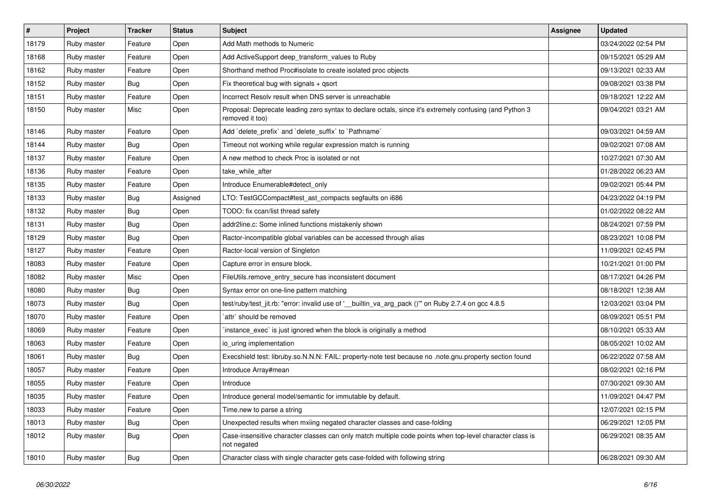| $\vert$ # | Project     | <b>Tracker</b> | <b>Status</b> | <b>Subject</b>                                                                                                             | <b>Assignee</b> | <b>Updated</b>      |
|-----------|-------------|----------------|---------------|----------------------------------------------------------------------------------------------------------------------------|-----------------|---------------------|
| 18179     | Ruby master | Feature        | Open          | Add Math methods to Numeric                                                                                                |                 | 03/24/2022 02:54 PM |
| 18168     | Ruby master | Feature        | Open          | Add ActiveSupport deep_transform_values to Ruby                                                                            |                 | 09/15/2021 05:29 AM |
| 18162     | Ruby master | Feature        | Open          | Shorthand method Proc#isolate to create isolated proc objects                                                              |                 | 09/13/2021 02:33 AM |
| 18152     | Ruby master | Bug            | Open          | Fix theoretical bug with signals $+$ qsort                                                                                 |                 | 09/08/2021 03:38 PM |
| 18151     | Ruby master | Feature        | Open          | Incorrect Resolv result when DNS server is unreachable                                                                     |                 | 09/18/2021 12:22 AM |
| 18150     | Ruby master | Misc           | Open          | Proposal: Deprecate leading zero syntax to declare octals, since it's extremely confusing (and Python 3<br>removed it too) |                 | 09/04/2021 03:21 AM |
| 18146     | Ruby master | Feature        | Open          | Add `delete prefix` and `delete suffix` to `Pathname`                                                                      |                 | 09/03/2021 04:59 AM |
| 18144     | Ruby master | <b>Bug</b>     | Open          | Timeout not working while regular expression match is running                                                              |                 | 09/02/2021 07:08 AM |
| 18137     | Ruby master | Feature        | Open          | A new method to check Proc is isolated or not                                                                              |                 | 10/27/2021 07:30 AM |
| 18136     | Ruby master | Feature        | Open          | take while after                                                                                                           |                 | 01/28/2022 06:23 AM |
| 18135     | Ruby master | Feature        | Open          | Introduce Enumerable#detect only                                                                                           |                 | 09/02/2021 05:44 PM |
| 18133     | Ruby master | <b>Bug</b>     | Assigned      | LTO: TestGCCompact#test_ast_compacts segfaults on i686                                                                     |                 | 04/23/2022 04:19 PM |
| 18132     | Ruby master | <b>Bug</b>     | Open          | TODO: fix ccan/list thread safety                                                                                          |                 | 01/02/2022 08:22 AM |
| 18131     | Ruby master | <b>Bug</b>     | Open          | addr2line.c: Some inlined functions mistakenly shown                                                                       |                 | 08/24/2021 07:59 PM |
| 18129     | Ruby master | <b>Bug</b>     | Open          | Ractor-incompatible global variables can be accessed through alias                                                         |                 | 08/23/2021 10:08 PM |
| 18127     | Ruby master | Feature        | Open          | Ractor-local version of Singleton                                                                                          |                 | 11/09/2021 02:45 PM |
| 18083     | Ruby master | Feature        | Open          | Capture error in ensure block.                                                                                             |                 | 10/21/2021 01:00 PM |
| 18082     | Ruby master | Misc           | Open          | FileUtils.remove entry secure has inconsistent document                                                                    |                 | 08/17/2021 04:26 PM |
| 18080     | Ruby master | Bug            | Open          | Syntax error on one-line pattern matching                                                                                  |                 | 08/18/2021 12:38 AM |
| 18073     | Ruby master | Bug            | Open          | test/ruby/test_jit.rb: "error: invalid use of '__builtin_va_arg_pack ()"" on Ruby 2.7.4 on gcc 4.8.5                       |                 | 12/03/2021 03:04 PM |
| 18070     | Ruby master | Feature        | Open          | attr` should be removed                                                                                                    |                 | 08/09/2021 05:51 PM |
| 18069     | Ruby master | Feature        | Open          | instance exec' is just ignored when the block is originally a method                                                       |                 | 08/10/2021 05:33 AM |
| 18063     | Ruby master | Feature        | Open          | io uring implementation                                                                                                    |                 | 08/05/2021 10:02 AM |
| 18061     | Ruby master | <b>Bug</b>     | Open          | Execshield test: libruby.so.N.N.N: FAIL: property-note test because no .note.gnu.property section found                    |                 | 06/22/2022 07:58 AM |
| 18057     | Ruby master | Feature        | Open          | Introduce Array#mean                                                                                                       |                 | 08/02/2021 02:16 PM |
| 18055     | Ruby master | Feature        | Open          | Introduce                                                                                                                  |                 | 07/30/2021 09:30 AM |
| 18035     | Ruby master | Feature        | Open          | Introduce general model/semantic for immutable by default.                                                                 |                 | 11/09/2021 04:47 PM |
| 18033     | Ruby master | Feature        | Open          | Time.new to parse a string                                                                                                 |                 | 12/07/2021 02:15 PM |
| 18013     | Ruby master | Bug            | Open          | Unexpected results when mxiing negated character classes and case-folding                                                  |                 | 06/29/2021 12:05 PM |
| 18012     | Ruby master | Bug            | Open          | Case-insensitive character classes can only match multiple code points when top-level character class is<br>not negated    |                 | 06/29/2021 08:35 AM |
| 18010     | Ruby master | <b>Bug</b>     | Open          | Character class with single character gets case-folded with following string                                               |                 | 06/28/2021 09:30 AM |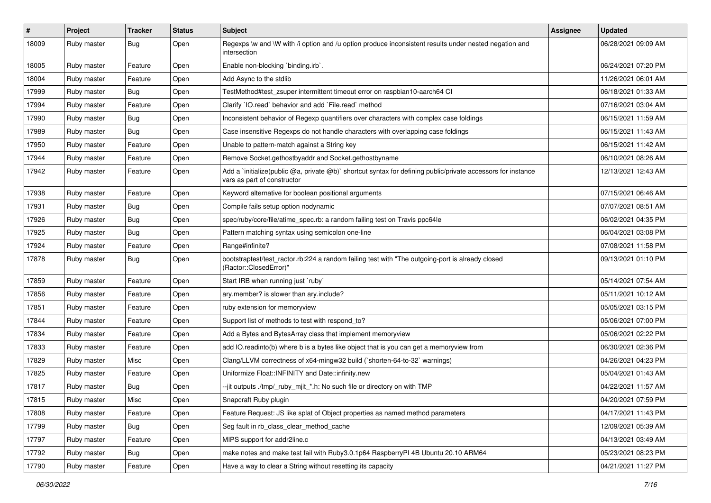| $\pmb{\#}$ | Project     | <b>Tracker</b> | <b>Status</b> | Subject                                                                                                                                     | <b>Assignee</b> | <b>Updated</b>      |
|------------|-------------|----------------|---------------|---------------------------------------------------------------------------------------------------------------------------------------------|-----------------|---------------------|
| 18009      | Ruby master | Bug            | Open          | Regexps \w and \W with /i option and /u option produce inconsistent results under nested negation and<br>intersection                       |                 | 06/28/2021 09:09 AM |
| 18005      | Ruby master | Feature        | Open          | Enable non-blocking 'binding.irb'.                                                                                                          |                 | 06/24/2021 07:20 PM |
| 18004      | Ruby master | Feature        | Open          | Add Async to the stdlib                                                                                                                     |                 | 11/26/2021 06:01 AM |
| 17999      | Ruby master | Bug            | Open          | TestMethod#test zsuper intermittent timeout error on raspbian10-aarch64 CI                                                                  |                 | 06/18/2021 01:33 AM |
| 17994      | Ruby master | Feature        | Open          | Clarify `IO.read` behavior and add `File.read` method                                                                                       |                 | 07/16/2021 03:04 AM |
| 17990      | Ruby master | Bug            | Open          | Inconsistent behavior of Regexp quantifiers over characters with complex case foldings                                                      |                 | 06/15/2021 11:59 AM |
| 17989      | Ruby master | Bug            | Open          | Case insensitive Regexps do not handle characters with overlapping case foldings                                                            |                 | 06/15/2021 11:43 AM |
| 17950      | Ruby master | Feature        | Open          | Unable to pattern-match against a String key                                                                                                |                 | 06/15/2021 11:42 AM |
| 17944      | Ruby master | Feature        | Open          | Remove Socket.gethostbyaddr and Socket.gethostbyname                                                                                        |                 | 06/10/2021 08:26 AM |
| 17942      | Ruby master | Feature        | Open          | Add a 'initialize(public @a, private @b)' shortcut syntax for defining public/private accessors for instance<br>vars as part of constructor |                 | 12/13/2021 12:43 AM |
| 17938      | Ruby master | Feature        | Open          | Keyword alternative for boolean positional arguments                                                                                        |                 | 07/15/2021 06:46 AM |
| 17931      | Ruby master | Bug            | Open          | Compile fails setup option nodynamic                                                                                                        |                 | 07/07/2021 08:51 AM |
| 17926      | Ruby master | Bug            | Open          | spec/ruby/core/file/atime_spec.rb: a random failing test on Travis ppc64le                                                                  |                 | 06/02/2021 04:35 PM |
| 17925      | Ruby master | Bug            | Open          | Pattern matching syntax using semicolon one-line                                                                                            |                 | 06/04/2021 03:08 PM |
| 17924      | Ruby master | Feature        | Open          | Range#infinite?                                                                                                                             |                 | 07/08/2021 11:58 PM |
| 17878      | Ruby master | Bug            | Open          | bootstraptest/test_ractor.rb:224 a random failing test with "The outgoing-port is already closed<br>(Ractor::ClosedError)"                  |                 | 09/13/2021 01:10 PM |
| 17859      | Ruby master | Feature        | Open          | Start IRB when running just `ruby`                                                                                                          |                 | 05/14/2021 07:54 AM |
| 17856      | Ruby master | Feature        | Open          | ary.member? is slower than ary.include?                                                                                                     |                 | 05/11/2021 10:12 AM |
| 17851      | Ruby master | Feature        | Open          | ruby extension for memoryview                                                                                                               |                 | 05/05/2021 03:15 PM |
| 17844      | Ruby master | Feature        | Open          | Support list of methods to test with respond_to?                                                                                            |                 | 05/06/2021 07:00 PM |
| 17834      | Ruby master | Feature        | Open          | Add a Bytes and BytesArray class that implement memoryview                                                                                  |                 | 05/06/2021 02:22 PM |
| 17833      | Ruby master | Feature        | Open          | add IO.readinto(b) where b is a bytes like object that is you can get a memoryview from                                                     |                 | 06/30/2021 02:36 PM |
| 17829      | Ruby master | Misc           | Open          | Clang/LLVM correctness of x64-mingw32 build (`shorten-64-to-32` warnings)                                                                   |                 | 04/26/2021 04:23 PM |
| 17825      | Ruby master | Feature        | Open          | Uniformize Float::INFINITY and Date::infinity.new                                                                                           |                 | 05/04/2021 01:43 AM |
| 17817      | Ruby master | Bug            | Open          | --jit outputs ./tmp/_ruby_mjit_*.h: No such file or directory on with TMP                                                                   |                 | 04/22/2021 11:57 AM |
| 17815      | Ruby master | Misc           | Open          | Snapcraft Ruby plugin                                                                                                                       |                 | 04/20/2021 07:59 PM |
| 17808      | Ruby master | Feature        | Open          | Feature Request: JS like splat of Object properties as named method parameters                                                              |                 | 04/17/2021 11:43 PM |
| 17799      | Ruby master | <b>Bug</b>     | Open          | Seg fault in rb class clear method cache                                                                                                    |                 | 12/09/2021 05:39 AM |
| 17797      | Ruby master | Feature        | Open          | MIPS support for addr2line.c                                                                                                                |                 | 04/13/2021 03:49 AM |
| 17792      | Ruby master | Bug            | Open          | make notes and make test fail with Ruby3.0.1p64 RaspberryPI 4B Ubuntu 20.10 ARM64                                                           |                 | 05/23/2021 08:23 PM |
| 17790      | Ruby master | Feature        | Open          | Have a way to clear a String without resetting its capacity                                                                                 |                 | 04/21/2021 11:27 PM |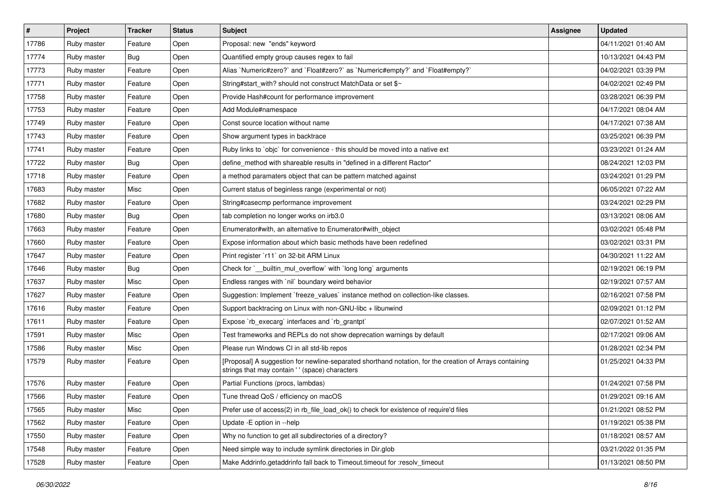| $\sharp$ | Project     | <b>Tracker</b> | <b>Status</b> | <b>Subject</b>                                                                                                                                             | Assignee | <b>Updated</b>      |
|----------|-------------|----------------|---------------|------------------------------------------------------------------------------------------------------------------------------------------------------------|----------|---------------------|
| 17786    | Ruby master | Feature        | Open          | Proposal: new "ends" keyword                                                                                                                               |          | 04/11/2021 01:40 AM |
| 17774    | Ruby master | Bug            | Open          | Quantified empty group causes regex to fail                                                                                                                |          | 10/13/2021 04:43 PM |
| 17773    | Ruby master | Feature        | Open          | Alias `Numeric#zero?` and `Float#zero?` as `Numeric#empty?` and `Float#empty?`                                                                             |          | 04/02/2021 03:39 PM |
| 17771    | Ruby master | Feature        | Open          | String#start_with? should not construct MatchData or set \$~                                                                                               |          | 04/02/2021 02:49 PM |
| 17758    | Ruby master | Feature        | Open          | Provide Hash#count for performance improvement                                                                                                             |          | 03/28/2021 06:39 PM |
| 17753    | Ruby master | Feature        | Open          | Add Module#namespace                                                                                                                                       |          | 04/17/2021 08:04 AM |
| 17749    | Ruby master | Feature        | Open          | Const source location without name                                                                                                                         |          | 04/17/2021 07:38 AM |
| 17743    | Ruby master | Feature        | Open          | Show argument types in backtrace                                                                                                                           |          | 03/25/2021 06:39 PM |
| 17741    | Ruby master | Feature        | Open          | Ruby links to `objc` for convenience - this should be moved into a native ext                                                                              |          | 03/23/2021 01:24 AM |
| 17722    | Ruby master | Bug            | Open          | define_method with shareable results in "defined in a different Ractor"                                                                                    |          | 08/24/2021 12:03 PM |
| 17718    | Ruby master | Feature        | Open          | a method paramaters object that can be pattern matched against                                                                                             |          | 03/24/2021 01:29 PM |
| 17683    | Ruby master | Misc           | Open          | Current status of beginless range (experimental or not)                                                                                                    |          | 06/05/2021 07:22 AM |
| 17682    | Ruby master | Feature        | Open          | String#casecmp performance improvement                                                                                                                     |          | 03/24/2021 02:29 PM |
| 17680    | Ruby master | Bug            | Open          | tab completion no longer works on irb3.0                                                                                                                   |          | 03/13/2021 08:06 AM |
| 17663    | Ruby master | Feature        | Open          | Enumerator#with, an alternative to Enumerator#with_object                                                                                                  |          | 03/02/2021 05:48 PM |
| 17660    | Ruby master | Feature        | Open          | Expose information about which basic methods have been redefined                                                                                           |          | 03/02/2021 03:31 PM |
| 17647    | Ruby master | Feature        | Open          | Print register `r11` on 32-bit ARM Linux                                                                                                                   |          | 04/30/2021 11:22 AM |
| 17646    | Ruby master | <b>Bug</b>     | Open          | Check for `__builtin_mul_overflow` with `long long` arguments                                                                                              |          | 02/19/2021 06:19 PM |
| 17637    | Ruby master | Misc           | Open          | Endless ranges with `nil` boundary weird behavior                                                                                                          |          | 02/19/2021 07:57 AM |
| 17627    | Ruby master | Feature        | Open          | Suggestion: Implement `freeze_values` instance method on collection-like classes.                                                                          |          | 02/16/2021 07:58 PM |
| 17616    | Ruby master | Feature        | Open          | Support backtracing on Linux with non-GNU-libc + libunwind                                                                                                 |          | 02/09/2021 01:12 PM |
| 17611    | Ruby master | Feature        | Open          | Expose `rb_execarg` interfaces and `rb_grantpt`                                                                                                            |          | 02/07/2021 01:52 AM |
| 17591    | Ruby master | Misc           | Open          | Test frameworks and REPLs do not show deprecation warnings by default                                                                                      |          | 02/17/2021 09:06 AM |
| 17586    | Ruby master | Misc           | Open          | Please run Windows CI in all std-lib repos                                                                                                                 |          | 01/28/2021 02:34 PM |
| 17579    | Ruby master | Feature        | Open          | [Proposal] A suggestion for newline-separated shorthand notation, for the creation of Arrays containing<br>strings that may contain ' ' (space) characters |          | 01/25/2021 04:33 PM |
| 17576    | Ruby master | Feature        | Open          | Partial Functions (procs, lambdas)                                                                                                                         |          | 01/24/2021 07:58 PM |
| 17566    | Ruby master | Feature        | Open          | Tune thread QoS / efficiency on macOS                                                                                                                      |          | 01/29/2021 09:16 AM |
| 17565    | Ruby master | Misc           | Open          | Prefer use of access(2) in rb_file_load_ok() to check for existence of require'd files                                                                     |          | 01/21/2021 08:52 PM |
| 17562    | Ruby master | Feature        | Open          | Update - E option in --help                                                                                                                                |          | 01/19/2021 05:38 PM |
| 17550    | Ruby master | Feature        | Open          | Why no function to get all subdirectories of a directory?                                                                                                  |          | 01/18/2021 08:57 AM |
| 17548    | Ruby master | Feature        | Open          | Need simple way to include symlink directories in Dir.glob                                                                                                 |          | 03/21/2022 01:35 PM |
| 17528    | Ruby master | Feature        | Open          | Make Addrinfo.getaddrinfo fall back to Timeout.timeout for :resolv_timeout                                                                                 |          | 01/13/2021 08:50 PM |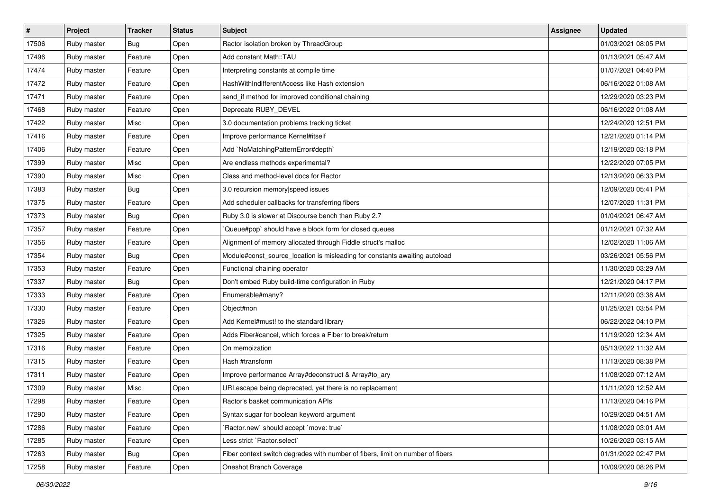| #     | Project     | <b>Tracker</b> | <b>Status</b> | <b>Subject</b>                                                                 | <b>Assignee</b> | <b>Updated</b>      |
|-------|-------------|----------------|---------------|--------------------------------------------------------------------------------|-----------------|---------------------|
| 17506 | Ruby master | Bug            | Open          | Ractor isolation broken by ThreadGroup                                         |                 | 01/03/2021 08:05 PM |
| 17496 | Ruby master | Feature        | Open          | Add constant Math::TAU                                                         |                 | 01/13/2021 05:47 AM |
| 17474 | Ruby master | Feature        | Open          | Interpreting constants at compile time                                         |                 | 01/07/2021 04:40 PM |
| 17472 | Ruby master | Feature        | Open          | HashWithIndifferentAccess like Hash extension                                  |                 | 06/16/2022 01:08 AM |
| 17471 | Ruby master | Feature        | Open          | send_if method for improved conditional chaining                               |                 | 12/29/2020 03:23 PM |
| 17468 | Ruby master | Feature        | Open          | Deprecate RUBY_DEVEL                                                           |                 | 06/16/2022 01:08 AM |
| 17422 | Ruby master | Misc           | Open          | 3.0 documentation problems tracking ticket                                     |                 | 12/24/2020 12:51 PM |
| 17416 | Ruby master | Feature        | Open          | Improve performance Kernel#itself                                              |                 | 12/21/2020 01:14 PM |
| 17406 | Ruby master | Feature        | Open          | Add `NoMatchingPatternError#depth`                                             |                 | 12/19/2020 03:18 PM |
| 17399 | Ruby master | Misc           | Open          | Are endless methods experimental?                                              |                 | 12/22/2020 07:05 PM |
| 17390 | Ruby master | Misc           | Open          | Class and method-level docs for Ractor                                         |                 | 12/13/2020 06:33 PM |
| 17383 | Ruby master | Bug            | Open          | 3.0 recursion memory speed issues                                              |                 | 12/09/2020 05:41 PM |
| 17375 | Ruby master | Feature        | Open          | Add scheduler callbacks for transferring fibers                                |                 | 12/07/2020 11:31 PM |
| 17373 | Ruby master | Bug            | Open          | Ruby 3.0 is slower at Discourse bench than Ruby 2.7                            |                 | 01/04/2021 06:47 AM |
| 17357 | Ruby master | Feature        | Open          | Queue#pop` should have a block form for closed queues                          |                 | 01/12/2021 07:32 AM |
| 17356 | Ruby master | Feature        | Open          | Alignment of memory allocated through Fiddle struct's malloc                   |                 | 12/02/2020 11:06 AM |
| 17354 | Ruby master | <b>Bug</b>     | Open          | Module#const_source_location is misleading for constants awaiting autoload     |                 | 03/26/2021 05:56 PM |
| 17353 | Ruby master | Feature        | Open          | Functional chaining operator                                                   |                 | 11/30/2020 03:29 AM |
| 17337 | Ruby master | Bug            | Open          | Don't embed Ruby build-time configuration in Ruby                              |                 | 12/21/2020 04:17 PM |
| 17333 | Ruby master | Feature        | Open          | Enumerable#many?                                                               |                 | 12/11/2020 03:38 AM |
| 17330 | Ruby master | Feature        | Open          | Object#non                                                                     |                 | 01/25/2021 03:54 PM |
| 17326 | Ruby master | Feature        | Open          | Add Kernel#must! to the standard library                                       |                 | 06/22/2022 04:10 PM |
| 17325 | Ruby master | Feature        | Open          | Adds Fiber#cancel, which forces a Fiber to break/return                        |                 | 11/19/2020 12:34 AM |
| 17316 | Ruby master | Feature        | Open          | On memoization                                                                 |                 | 05/13/2022 11:32 AM |
| 17315 | Ruby master | Feature        | Open          | Hash #transform                                                                |                 | 11/13/2020 08:38 PM |
| 17311 | Ruby master | Feature        | Open          | Improve performance Array#deconstruct & Array#to_ary                           |                 | 11/08/2020 07:12 AM |
| 17309 | Ruby master | Misc           | Open          | URI.escape being deprecated, yet there is no replacement                       |                 | 11/11/2020 12:52 AM |
| 17298 | Ruby master | Feature        | Open          | Ractor's basket communication APIs                                             |                 | 11/13/2020 04:16 PM |
| 17290 | Ruby master | Feature        | Open          | Syntax sugar for boolean keyword argument                                      |                 | 10/29/2020 04:51 AM |
| 17286 | Ruby master | Feature        | Open          | 'Ractor.new' should accept 'move: true'                                        |                 | 11/08/2020 03:01 AM |
| 17285 | Ruby master | Feature        | Open          | Less strict `Ractor.select`                                                    |                 | 10/26/2020 03:15 AM |
| 17263 | Ruby master | <b>Bug</b>     | Open          | Fiber context switch degrades with number of fibers, limit on number of fibers |                 | 01/31/2022 02:47 PM |
| 17258 | Ruby master | Feature        | Open          | Oneshot Branch Coverage                                                        |                 | 10/09/2020 08:26 PM |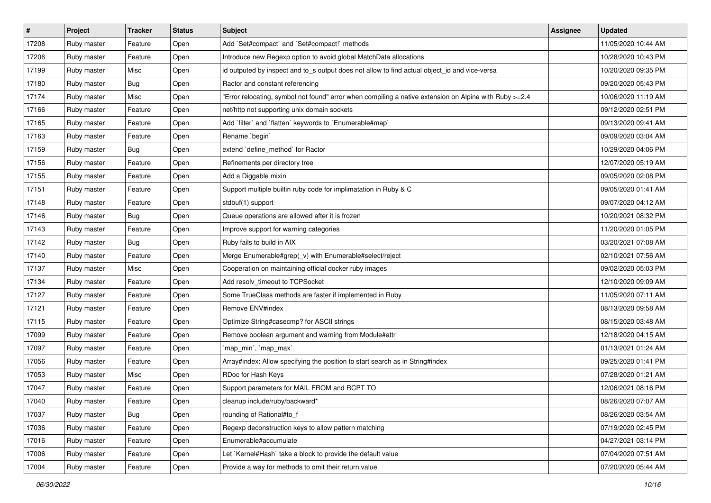| $\vert$ # | Project     | <b>Tracker</b> | <b>Status</b> | Subject                                                                                                | <b>Assignee</b> | <b>Updated</b>      |
|-----------|-------------|----------------|---------------|--------------------------------------------------------------------------------------------------------|-----------------|---------------------|
| 17208     | Ruby master | Feature        | Open          | Add `Set#compact` and `Set#compact!` methods                                                           |                 | 11/05/2020 10:44 AM |
| 17206     | Ruby master | Feature        | Open          | Introduce new Regexp option to avoid global MatchData allocations                                      |                 | 10/28/2020 10:43 PM |
| 17199     | Ruby master | Misc           | Open          | id outputed by inspect and to_s output does not allow to find actual object_id and vice-versa          |                 | 10/20/2020 09:35 PM |
| 17180     | Ruby master | Bug            | Open          | Ractor and constant referencing                                                                        |                 | 09/20/2020 05:43 PM |
| 17174     | Ruby master | Misc           | Open          | Error relocating, symbol not found" error when compiling a native extension on Alpine with Ruby >=2.4" |                 | 10/06/2020 11:19 AM |
| 17166     | Ruby master | Feature        | Open          | net/http not supporting unix domain sockets                                                            |                 | 09/12/2020 02:51 PM |
| 17165     | Ruby master | Feature        | Open          | Add 'filter' and 'flatten' keywords to 'Enumerable#map'                                                |                 | 09/13/2020 09:41 AM |
| 17163     | Ruby master | Feature        | Open          | Rename `begin`                                                                                         |                 | 09/09/2020 03:04 AM |
| 17159     | Ruby master | Bug            | Open          | extend 'define_method' for Ractor                                                                      |                 | 10/29/2020 04:06 PM |
| 17156     | Ruby master | Feature        | Open          | Refinements per directory tree                                                                         |                 | 12/07/2020 05:19 AM |
| 17155     | Ruby master | Feature        | Open          | Add a Diggable mixin                                                                                   |                 | 09/05/2020 02:08 PM |
| 17151     | Ruby master | Feature        | Open          | Support multiple builtin ruby code for implimatation in Ruby & C                                       |                 | 09/05/2020 01:41 AM |
| 17148     | Ruby master | Feature        | Open          | stdbuf(1) support                                                                                      |                 | 09/07/2020 04:12 AM |
| 17146     | Ruby master | Bug            | Open          | Queue operations are allowed after it is frozen                                                        |                 | 10/20/2021 08:32 PM |
| 17143     | Ruby master | Feature        | Open          | Improve support for warning categories                                                                 |                 | 11/20/2020 01:05 PM |
| 17142     | Ruby master | Bug            | Open          | Ruby fails to build in AIX                                                                             |                 | 03/20/2021 07:08 AM |
| 17140     | Ruby master | Feature        | Open          | Merge Enumerable#grep(_v) with Enumerable#select/reject                                                |                 | 02/10/2021 07:56 AM |
| 17137     | Ruby master | Misc           | Open          | Cooperation on maintaining official docker ruby images                                                 |                 | 09/02/2020 05:03 PM |
| 17134     | Ruby master | Feature        | Open          | Add resolv_timeout to TCPSocket                                                                        |                 | 12/10/2020 09:09 AM |
| 17127     | Ruby master | Feature        | Open          | Some TrueClass methods are faster if implemented in Ruby                                               |                 | 11/05/2020 07:11 AM |
| 17121     | Ruby master | Feature        | Open          | Remove ENV#index                                                                                       |                 | 08/13/2020 09:58 AM |
| 17115     | Ruby master | Feature        | Open          | Optimize String#casecmp? for ASCII strings                                                             |                 | 08/15/2020 03:48 AM |
| 17099     | Ruby master | Feature        | Open          | Remove boolean argument and warning from Module#attr                                                   |                 | 12/18/2020 04:15 AM |
| 17097     | Ruby master | Feature        | Open          | `map_min`, `map_max`                                                                                   |                 | 01/13/2021 01:24 AM |
| 17056     | Ruby master | Feature        | Open          | Array#index: Allow specifying the position to start search as in String#index                          |                 | 09/25/2020 01:41 PM |
| 17053     | Ruby master | Misc           | Open          | RDoc for Hash Keys                                                                                     |                 | 07/28/2020 01:21 AM |
| 17047     | Ruby master | Feature        | Open          | Support parameters for MAIL FROM and RCPT TO                                                           |                 | 12/06/2021 08:16 PM |
| 17040     | Ruby master | Feature        | Open          | cleanup include/ruby/backward*                                                                         |                 | 08/26/2020 07:07 AM |
| 17037     | Ruby master | Bug            | Open          | rounding of Rational#to f                                                                              |                 | 08/26/2020 03:54 AM |
| 17036     | Ruby master | Feature        | Open          | Regexp deconstruction keys to allow pattern matching                                                   |                 | 07/19/2020 02:45 PM |
| 17016     | Ruby master | Feature        | Open          | Enumerable#accumulate                                                                                  |                 | 04/27/2021 03:14 PM |
| 17006     | Ruby master | Feature        | Open          | Let `Kernel#Hash` take a block to provide the default value                                            |                 | 07/04/2020 07:51 AM |
| 17004     | Ruby master | Feature        | Open          | Provide a way for methods to omit their return value                                                   |                 | 07/20/2020 05:44 AM |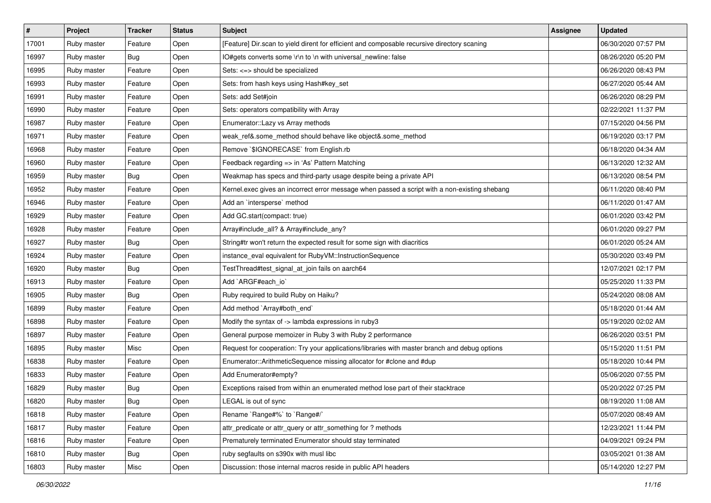| $\vert$ # | Project     | <b>Tracker</b> | <b>Status</b> | <b>Subject</b>                                                                                | <b>Assignee</b> | <b>Updated</b>      |
|-----------|-------------|----------------|---------------|-----------------------------------------------------------------------------------------------|-----------------|---------------------|
| 17001     | Ruby master | Feature        | Open          | [Feature] Dir.scan to yield dirent for efficient and composable recursive directory scaning   |                 | 06/30/2020 07:57 PM |
| 16997     | Ruby master | Bug            | Open          | IO#gets converts some \r\n to \n with universal_newline: false                                |                 | 08/26/2020 05:20 PM |
| 16995     | Ruby master | Feature        | Open          | Sets: <=> should be specialized                                                               |                 | 06/26/2020 08:43 PM |
| 16993     | Ruby master | Feature        | Open          | Sets: from hash keys using Hash#key_set                                                       |                 | 06/27/2020 05:44 AM |
| 16991     | Ruby master | Feature        | Open          | Sets: add Set#join                                                                            |                 | 06/26/2020 08:29 PM |
| 16990     | Ruby master | Feature        | Open          | Sets: operators compatibility with Array                                                      |                 | 02/22/2021 11:37 PM |
| 16987     | Ruby master | Feature        | Open          | Enumerator::Lazy vs Array methods                                                             |                 | 07/15/2020 04:56 PM |
| 16971     | Ruby master | Feature        | Open          | weak_ref&.some_method should behave like object&.some_method                                  |                 | 06/19/2020 03:17 PM |
| 16968     | Ruby master | Feature        | Open          | Remove `\$IGNORECASE` from English.rb                                                         |                 | 06/18/2020 04:34 AM |
| 16960     | Ruby master | Feature        | Open          | Feedback regarding => in 'As' Pattern Matching                                                |                 | 06/13/2020 12:32 AM |
| 16959     | Ruby master | Bug            | Open          | Weakmap has specs and third-party usage despite being a private API                           |                 | 06/13/2020 08:54 PM |
| 16952     | Ruby master | Feature        | Open          | Kernel.exec gives an incorrect error message when passed a script with a non-existing shebang |                 | 06/11/2020 08:40 PM |
| 16946     | Ruby master | Feature        | Open          | Add an `intersperse` method                                                                   |                 | 06/11/2020 01:47 AM |
| 16929     | Ruby master | Feature        | Open          | Add GC.start(compact: true)                                                                   |                 | 06/01/2020 03:42 PM |
| 16928     | Ruby master | Feature        | Open          | Array#include_all? & Array#include_any?                                                       |                 | 06/01/2020 09:27 PM |
| 16927     | Ruby master | Bug            | Open          | String#tr won't return the expected result for some sign with diacritics                      |                 | 06/01/2020 05:24 AM |
| 16924     | Ruby master | Feature        | Open          | instance_eval equivalent for RubyVM::InstructionSequence                                      |                 | 05/30/2020 03:49 PM |
| 16920     | Ruby master | Bug            | Open          | TestThread#test_signal_at_join fails on aarch64                                               |                 | 12/07/2021 02:17 PM |
| 16913     | Ruby master | Feature        | Open          | Add `ARGF#each_io`                                                                            |                 | 05/25/2020 11:33 PM |
| 16905     | Ruby master | Bug            | Open          | Ruby required to build Ruby on Haiku?                                                         |                 | 05/24/2020 08:08 AM |
| 16899     | Ruby master | Feature        | Open          | Add method `Array#both_end`                                                                   |                 | 05/18/2020 01:44 AM |
| 16898     | Ruby master | Feature        | Open          | Modify the syntax of -> lambda expressions in ruby3                                           |                 | 05/19/2020 02:02 AM |
| 16897     | Ruby master | Feature        | Open          | General purpose memoizer in Ruby 3 with Ruby 2 performance                                    |                 | 06/26/2020 03:51 PM |
| 16895     | Ruby master | Misc           | Open          | Request for cooperation: Try your applications/libraries with master branch and debug options |                 | 05/15/2020 11:51 PM |
| 16838     | Ruby master | Feature        | Open          | Enumerator::ArithmeticSequence missing allocator for #clone and #dup                          |                 | 05/18/2020 10:44 PM |
| 16833     | Ruby master | Feature        | Open          | Add Enumerator#empty?                                                                         |                 | 05/06/2020 07:55 PM |
| 16829     | Ruby master | Bug            | Open          | Exceptions raised from within an enumerated method lose part of their stacktrace              |                 | 05/20/2022 07:25 PM |
| 16820     | Ruby master | <b>Bug</b>     | Open          | LEGAL is out of sync                                                                          |                 | 08/19/2020 11:08 AM |
| 16818     | Ruby master | Feature        | Open          | Rename `Range#%` to `Range#/`                                                                 |                 | 05/07/2020 08:49 AM |
| 16817     | Ruby master | Feature        | Open          | attr_predicate or attr_query or attr_something for ? methods                                  |                 | 12/23/2021 11:44 PM |
| 16816     | Ruby master | Feature        | Open          | Prematurely terminated Enumerator should stay terminated                                      |                 | 04/09/2021 09:24 PM |
| 16810     | Ruby master | <b>Bug</b>     | Open          | ruby segfaults on s390x with musl libc                                                        |                 | 03/05/2021 01:38 AM |
| 16803     | Ruby master | Misc           | Open          | Discussion: those internal macros reside in public API headers                                |                 | 05/14/2020 12:27 PM |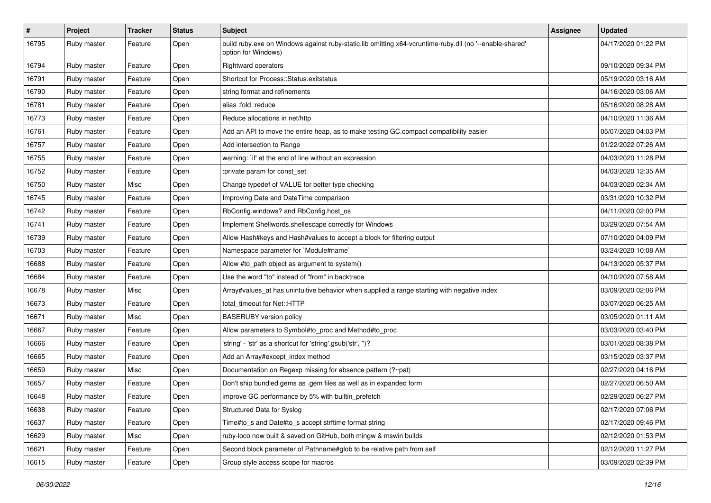| $\pmb{\#}$ | Project     | <b>Tracker</b> | <b>Status</b> | <b>Subject</b>                                                                                                                 | <b>Assignee</b> | <b>Updated</b>      |
|------------|-------------|----------------|---------------|--------------------------------------------------------------------------------------------------------------------------------|-----------------|---------------------|
| 16795      | Ruby master | Feature        | Open          | build ruby exe on Windows against ruby-static.lib omitting x64-vcruntime-ruby dll (no '--enable-shared'<br>option for Windows) |                 | 04/17/2020 01:22 PM |
| 16794      | Ruby master | Feature        | Open          | Rightward operators                                                                                                            |                 | 09/10/2020 09:34 PM |
| 16791      | Ruby master | Feature        | Open          | Shortcut for Process::Status.exitstatus                                                                                        |                 | 05/19/2020 03:16 AM |
| 16790      | Ruby master | Feature        | Open          | string format and refinements                                                                                                  |                 | 04/16/2020 03:06 AM |
| 16781      | Ruby master | Feature        | Open          | alias :fold :reduce                                                                                                            |                 | 05/16/2020 08:28 AM |
| 16773      | Ruby master | Feature        | Open          | Reduce allocations in net/http                                                                                                 |                 | 04/10/2020 11:36 AM |
| 16761      | Ruby master | Feature        | Open          | Add an API to move the entire heap, as to make testing GC.compact compatibility easier                                         |                 | 05/07/2020 04:03 PM |
| 16757      | Ruby master | Feature        | Open          | Add intersection to Range                                                                                                      |                 | 01/22/2022 07:26 AM |
| 16755      | Ruby master | Feature        | Open          | warning: `if' at the end of line without an expression                                                                         |                 | 04/03/2020 11:28 PM |
| 16752      | Ruby master | Feature        | Open          | :private param for const_set                                                                                                   |                 | 04/03/2020 12:35 AM |
| 16750      | Ruby master | Misc           | Open          | Change typedef of VALUE for better type checking                                                                               |                 | 04/03/2020 02:34 AM |
| 16745      | Ruby master | Feature        | Open          | Improving Date and DateTime comparison                                                                                         |                 | 03/31/2020 10:32 PM |
| 16742      | Ruby master | Feature        | Open          | RbConfig.windows? and RbConfig.host_os                                                                                         |                 | 04/11/2020 02:00 PM |
| 16741      | Ruby master | Feature        | Open          | Implement Shellwords.shellescape correctly for Windows                                                                         |                 | 03/29/2020 07:54 AM |
| 16739      | Ruby master | Feature        | Open          | Allow Hash#keys and Hash#values to accept a block for filtering output                                                         |                 | 07/10/2020 04:09 PM |
| 16703      | Ruby master | Feature        | Open          | Namespace parameter for `Module#name`                                                                                          |                 | 03/24/2020 10:08 AM |
| 16688      | Ruby master | Feature        | Open          | Allow #to_path object as argument to system()                                                                                  |                 | 04/13/2020 05:37 PM |
| 16684      | Ruby master | Feature        | Open          | Use the word "to" instead of "from" in backtrace                                                                               |                 | 04/10/2020 07:58 AM |
| 16678      | Ruby master | Misc           | Open          | Array#values_at has unintuitive behavior when supplied a range starting with negative index                                    |                 | 03/09/2020 02:06 PM |
| 16673      | Ruby master | Feature        | Open          | total timeout for Net::HTTP                                                                                                    |                 | 03/07/2020 06:25 AM |
| 16671      | Ruby master | Misc           | Open          | <b>BASERUBY</b> version policy                                                                                                 |                 | 03/05/2020 01:11 AM |
| 16667      | Ruby master | Feature        | Open          | Allow parameters to Symbol#to_proc and Method#to_proc                                                                          |                 | 03/03/2020 03:40 PM |
| 16666      | Ruby master | Feature        | Open          | 'string' - 'str' as a shortcut for 'string'.gsub('str', ")?                                                                    |                 | 03/01/2020 08:38 PM |
| 16665      | Ruby master | Feature        | Open          | Add an Array#except_index method                                                                                               |                 | 03/15/2020 03:37 PM |
| 16659      | Ruby master | Misc           | Open          | Documentation on Regexp missing for absence pattern (?~pat)                                                                    |                 | 02/27/2020 04:16 PM |
| 16657      | Ruby master | Feature        | Open          | Don't ship bundled gems as .gem files as well as in expanded form                                                              |                 | 02/27/2020 06:50 AM |
| 16648      | Ruby master | Feature        | Open          | improve GC performance by 5% with builtin prefetch                                                                             |                 | 02/29/2020 06:27 PM |
| 16638      | Ruby master | Feature        | Open          | Structured Data for Syslog                                                                                                     |                 | 02/17/2020 07:06 PM |
| 16637      | Ruby master | Feature        | Open          | Time#to_s and Date#to_s accept strftime format string                                                                          |                 | 02/17/2020 09:46 PM |
| 16629      | Ruby master | Misc           | Open          | ruby-loco now built & saved on GitHub, both mingw & mswin builds                                                               |                 | 02/12/2020 01:53 PM |
| 16621      | Ruby master | Feature        | Open          | Second block parameter of Pathname#glob to be relative path from self                                                          |                 | 02/12/2020 11:27 PM |
| 16615      | Ruby master | Feature        | Open          | Group style access scope for macros                                                                                            |                 | 03/09/2020 02:39 PM |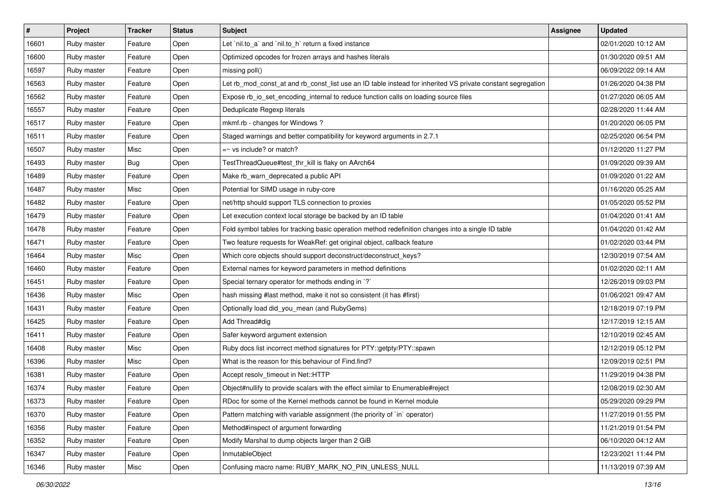| #     | <b>Project</b> | <b>Tracker</b> | <b>Status</b> | <b>Subject</b>                                                                                              | <b>Assignee</b> | <b>Updated</b>      |
|-------|----------------|----------------|---------------|-------------------------------------------------------------------------------------------------------------|-----------------|---------------------|
| 16601 | Ruby master    | Feature        | Open          | Let `nil.to_a` and `nil.to_h` return a fixed instance                                                       |                 | 02/01/2020 10:12 AM |
| 16600 | Ruby master    | Feature        | Open          | Optimized opcodes for frozen arrays and hashes literals                                                     |                 | 01/30/2020 09:51 AM |
| 16597 | Ruby master    | Feature        | Open          | missing poll()                                                                                              |                 | 06/09/2022 09:14 AM |
| 16563 | Ruby master    | Feature        | Open          | Let rb_mod_const_at and rb_const_list use an ID table instead for inherited VS private constant segregation |                 | 01/26/2020 04:38 PM |
| 16562 | Ruby master    | Feature        | Open          | Expose rb_io_set_encoding_internal to reduce function calls on loading source files                         |                 | 01/27/2020 06:05 AM |
| 16557 | Ruby master    | Feature        | Open          | Deduplicate Regexp literals                                                                                 |                 | 02/28/2020 11:44 AM |
| 16517 | Ruby master    | Feature        | Open          | mkmf.rb - changes for Windows?                                                                              |                 | 01/20/2020 06:05 PM |
| 16511 | Ruby master    | Feature        | Open          | Staged warnings and better compatibility for keyword arguments in 2.7.1                                     |                 | 02/25/2020 06:54 PM |
| 16507 | Ruby master    | Misc           | Open          | $=$ vs include? or match?                                                                                   |                 | 01/12/2020 11:27 PM |
| 16493 | Ruby master    | Bug            | Open          | TestThreadQueue#test_thr_kill is flaky on AArch64                                                           |                 | 01/09/2020 09:39 AM |
| 16489 | Ruby master    | Feature        | Open          | Make rb_warn_deprecated a public API                                                                        |                 | 01/09/2020 01:22 AM |
| 16487 | Ruby master    | Misc           | Open          | Potential for SIMD usage in ruby-core                                                                       |                 | 01/16/2020 05:25 AM |
| 16482 | Ruby master    | Feature        | Open          | net/http should support TLS connection to proxies                                                           |                 | 01/05/2020 05:52 PM |
| 16479 | Ruby master    | Feature        | Open          | Let execution context local storage be backed by an ID table                                                |                 | 01/04/2020 01:41 AM |
| 16478 | Ruby master    | Feature        | Open          | Fold symbol tables for tracking basic operation method redefinition changes into a single ID table          |                 | 01/04/2020 01:42 AM |
| 16471 | Ruby master    | Feature        | Open          | Two feature requests for WeakRef: get original object, callback feature                                     |                 | 01/02/2020 03:44 PM |
| 16464 | Ruby master    | Misc           | Open          | Which core objects should support deconstruct/deconstruct keys?                                             |                 | 12/30/2019 07:54 AM |
| 16460 | Ruby master    | Feature        | Open          | External names for keyword parameters in method definitions                                                 |                 | 01/02/2020 02:11 AM |
| 16451 | Ruby master    | Feature        | Open          | Special ternary operator for methods ending in `?`                                                          |                 | 12/26/2019 09:03 PM |
| 16436 | Ruby master    | Misc           | Open          | hash missing #last method, make it not so consistent (it has #first)                                        |                 | 01/06/2021 09:47 AM |
| 16431 | Ruby master    | Feature        | Open          | Optionally load did_you_mean (and RubyGems)                                                                 |                 | 12/18/2019 07:19 PM |
| 16425 | Ruby master    | Feature        | Open          | Add Thread#dig                                                                                              |                 | 12/17/2019 12:15 AM |
| 16411 | Ruby master    | Feature        | Open          | Safer keyword argument extension                                                                            |                 | 12/10/2019 02:45 AM |
| 16408 | Ruby master    | Misc           | Open          | Ruby docs list incorrect method signatures for PTY::getpty/PTY::spawn                                       |                 | 12/12/2019 05:12 PM |
| 16396 | Ruby master    | Misc           | Open          | What is the reason for this behaviour of Find.find?                                                         |                 | 12/09/2019 02:51 PM |
| 16381 | Ruby master    | Feature        | Open          | Accept resolv_timeout in Net::HTTP                                                                          |                 | 11/29/2019 04:38 PM |
| 16374 | Ruby master    | Feature        | Open          | Object#nullify to provide scalars with the effect similar to Enumerable#reject                              |                 | 12/08/2019 02:30 AM |
| 16373 | Ruby master    | Feature        | Open          | RDoc for some of the Kernel methods cannot be found in Kernel module                                        |                 | 05/29/2020 09:29 PM |
| 16370 | Ruby master    | Feature        | Open          | Pattern matching with variable assignment (the priority of `in` operator)                                   |                 | 11/27/2019 01:55 PM |
| 16356 | Ruby master    | Feature        | Open          | Method#inspect of argument forwarding                                                                       |                 | 11/21/2019 01:54 PM |
| 16352 | Ruby master    | Feature        | Open          | Modify Marshal to dump objects larger than 2 GiB                                                            |                 | 06/10/2020 04:12 AM |
| 16347 | Ruby master    | Feature        | Open          | InmutableObject                                                                                             |                 | 12/23/2021 11:44 PM |
| 16346 | Ruby master    | Misc           | Open          | Confusing macro name: RUBY_MARK_NO_PIN_UNLESS_NULL                                                          |                 | 11/13/2019 07:39 AM |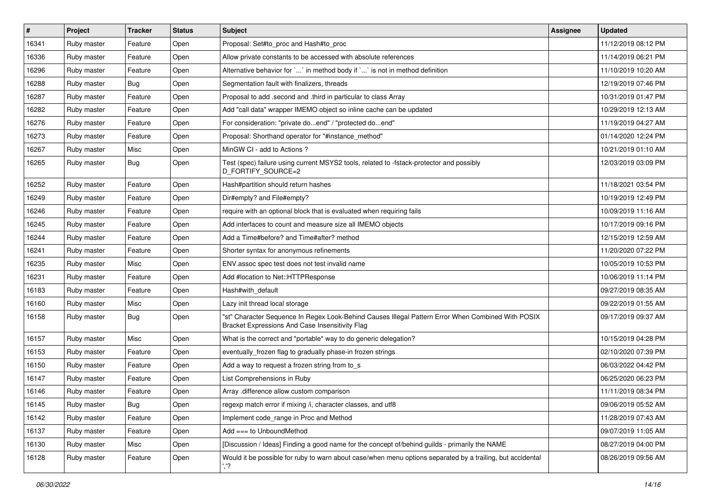| $\vert$ # | Project     | <b>Tracker</b> | <b>Status</b> | Subject                                                                                                                                               | Assignee | <b>Updated</b>      |
|-----------|-------------|----------------|---------------|-------------------------------------------------------------------------------------------------------------------------------------------------------|----------|---------------------|
| 16341     | Ruby master | Feature        | Open          | Proposal: Set#to proc and Hash#to proc                                                                                                                |          | 11/12/2019 08:12 PM |
| 16336     | Ruby master | Feature        | Open          | Allow private constants to be accessed with absolute references                                                                                       |          | 11/14/2019 06:21 PM |
| 16296     | Ruby master | Feature        | Open          | Alternative behavior for ` ` in method body if ` ` is not in method definition                                                                        |          | 11/10/2019 10:20 AM |
| 16288     | Ruby master | <b>Bug</b>     | Open          | Segmentation fault with finalizers, threads                                                                                                           |          | 12/19/2019 07:46 PM |
| 16287     | Ruby master | Feature        | Open          | Proposal to add .second and .third in particular to class Array                                                                                       |          | 10/31/2019 01:47 PM |
| 16282     | Ruby master | Feature        | Open          | Add "call data" wrapper IMEMO object so inline cache can be updated                                                                                   |          | 10/29/2019 12:13 AM |
| 16276     | Ruby master | Feature        | Open          | For consideration: "private doend" / "protected doend"                                                                                                |          | 11/19/2019 04:27 AM |
| 16273     | Ruby master | Feature        | Open          | Proposal: Shorthand operator for "#instance_method"                                                                                                   |          | 01/14/2020 12:24 PM |
| 16267     | Ruby master | Misc           | Open          | MinGW CI - add to Actions ?                                                                                                                           |          | 10/21/2019 01:10 AM |
| 16265     | Ruby master | <b>Bug</b>     | Open          | Test (spec) failure using current MSYS2 tools, related to -fstack-protector and possibly<br>D_FORTIFY_SOURCE=2                                        |          | 12/03/2019 03:09 PM |
| 16252     | Ruby master | Feature        | Open          | Hash#partition should return hashes                                                                                                                   |          | 11/18/2021 03:54 PM |
| 16249     | Ruby master | Feature        | Open          | Dir#empty? and File#empty?                                                                                                                            |          | 10/19/2019 12:49 PM |
| 16246     | Ruby master | Feature        | Open          | require with an optional block that is evaluated when requiring fails                                                                                 |          | 10/09/2019 11:16 AM |
| 16245     | Ruby master | Feature        | Open          | Add interfaces to count and measure size all IMEMO objects                                                                                            |          | 10/17/2019 09:16 PM |
| 16244     | Ruby master | Feature        | Open          | Add a Time#before? and Time#after? method                                                                                                             |          | 12/15/2019 12:59 AM |
| 16241     | Ruby master | Feature        | Open          | Shorter syntax for anonymous refinements                                                                                                              |          | 11/20/2020 07:22 PM |
| 16235     | Ruby master | Misc           | Open          | ENV assoc spec test does not test invalid name                                                                                                        |          | 10/05/2019 10:53 PM |
| 16231     | Ruby master | Feature        | Open          | Add #location to Net::HTTPResponse                                                                                                                    |          | 10/06/2019 11:14 PM |
| 16183     | Ruby master | Feature        | Open          | Hash#with_default                                                                                                                                     |          | 09/27/2019 08:35 AM |
| 16160     | Ruby master | Misc           | Open          | Lazy init thread local storage                                                                                                                        |          | 09/22/2019 01:55 AM |
| 16158     | Ruby master | <b>Bug</b>     | Open          | "st" Character Sequence In Regex Look-Behind Causes Illegal Pattern Error When Combined With POSIX<br>Bracket Expressions And Case Insensitivity Flag |          | 09/17/2019 09:37 AM |
| 16157     | Ruby master | Misc           | Open          | What is the correct and *portable* way to do generic delegation?                                                                                      |          | 10/15/2019 04:28 PM |
| 16153     | Ruby master | Feature        | Open          | eventually_frozen flag to gradually phase-in frozen strings                                                                                           |          | 02/10/2020 07:39 PM |
| 16150     | Ruby master | Feature        | Open          | Add a way to request a frozen string from to_s                                                                                                        |          | 06/03/2022 04:42 PM |
| 16147     | Ruby master | Feature        | Open          | List Comprehensions in Ruby                                                                                                                           |          | 06/25/2020 06:23 PM |
| 16146     | Ruby master | Feature        | Open          | Array .difference allow custom comparison                                                                                                             |          | 11/11/2019 08:34 PM |
| 16145     | Ruby master | Bug            | Open          | regexp match error if mixing /i, character classes, and utf8                                                                                          |          | 09/06/2019 05:52 AM |
| 16142     | Ruby master | Feature        | Open          | Implement code_range in Proc and Method                                                                                                               |          | 11/28/2019 07:43 AM |
| 16137     | Ruby master | Feature        | Open          | Add === to UnboundMethod                                                                                                                              |          | 09/07/2019 11:05 AM |
| 16130     | Ruby master | Misc           | Open          | [Discussion / Ideas] Finding a good name for the concept of/behind guilds - primarily the NAME                                                        |          | 08/27/2019 04:00 PM |
| 16128     | Ruby master | Feature        | Open          | Would it be possible for ruby to warn about case/when menu options separated by a trailing, but accidental<br>','?                                    |          | 08/26/2019 09:56 AM |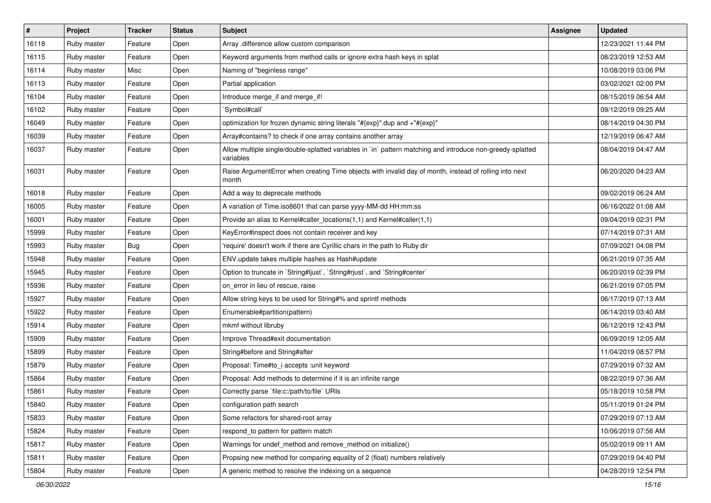| $\vert$ # | Project     | <b>Tracker</b> | <b>Status</b> | <b>Subject</b>                                                                                                          | <b>Assignee</b> | <b>Updated</b>      |
|-----------|-------------|----------------|---------------|-------------------------------------------------------------------------------------------------------------------------|-----------------|---------------------|
| 16118     | Ruby master | Feature        | Open          | Array .difference allow custom comparison                                                                               |                 | 12/23/2021 11:44 PM |
| 16115     | Ruby master | Feature        | Open          | Keyword arguments from method calls or ignore extra hash keys in splat                                                  |                 | 08/23/2019 12:53 AM |
| 16114     | Ruby master | Misc           | Open          | Naming of "beginless range"                                                                                             |                 | 10/08/2019 03:06 PM |
| 16113     | Ruby master | Feature        | Open          | Partial application                                                                                                     |                 | 03/02/2021 02:00 PM |
| 16104     | Ruby master | Feature        | Open          | Introduce merge_if and merge_if!                                                                                        |                 | 08/15/2019 06:54 AM |
| 16102     | Ruby master | Feature        | Open          | Symbol#call`                                                                                                            |                 | 09/12/2019 09:25 AM |
| 16049     | Ruby master | Feature        | Open          | optimization for frozen dynamic string literals "#{exp}".dup and +"#{exp}"                                              |                 | 08/14/2019 04:30 PM |
| 16039     | Ruby master | Feature        | Open          | Array#contains? to check if one array contains another array                                                            |                 | 12/19/2019 06:47 AM |
| 16037     | Ruby master | Feature        | Open          | Allow multiple single/double-splatted variables in `in` pattern matching and introduce non-greedy-splatted<br>variables |                 | 08/04/2019 04:47 AM |
| 16031     | Ruby master | Feature        | Open          | Raise ArgumentError when creating Time objects with invalid day of month, instead of rolling into next<br>month         |                 | 06/20/2020 04:23 AM |
| 16018     | Ruby master | Feature        | Open          | Add a way to deprecate methods                                                                                          |                 | 09/02/2019 06:24 AM |
| 16005     | Ruby master | Feature        | Open          | A variation of Time.iso8601 that can parse yyyy-MM-dd HH:mm:ss                                                          |                 | 06/16/2022 01:08 AM |
| 16001     | Ruby master | Feature        | Open          | Provide an alias to Kernel#caller_locations(1,1) and Kernel#caller(1,1)                                                 |                 | 09/04/2019 02:31 PM |
| 15999     | Ruby master | Feature        | Open          | KeyError#inspect does not contain receiver and key                                                                      |                 | 07/14/2019 07:31 AM |
| 15993     | Ruby master | Bug            | Open          | 'require' doesn't work if there are Cyrillic chars in the path to Ruby dir                                              |                 | 07/09/2021 04:08 PM |
| 15948     | Ruby master | Feature        | Open          | ENV.update takes multiple hashes as Hash#update                                                                         |                 | 06/21/2019 07:35 AM |
| 15945     | Ruby master | Feature        | Open          | Option to truncate in `String#ljust`, `String#rjust`, and `String#center`                                               |                 | 06/20/2019 02:39 PM |
| 15936     | Ruby master | Feature        | Open          | on error in lieu of rescue, raise                                                                                       |                 | 06/21/2019 07:05 PM |
| 15927     | Ruby master | Feature        | Open          | Allow string keys to be used for String#% and sprintf methods                                                           |                 | 06/17/2019 07:13 AM |
| 15922     | Ruby master | Feature        | Open          | Enumerable#partition(pattern)                                                                                           |                 | 06/14/2019 03:40 AM |
| 15914     | Ruby master | Feature        | Open          | mkmf without libruby                                                                                                    |                 | 06/12/2019 12:43 PM |
| 15909     | Ruby master | Feature        | Open          | Improve Thread#exit documentation                                                                                       |                 | 06/09/2019 12:05 AM |
| 15899     | Ruby master | Feature        | Open          | String#before and String#after                                                                                          |                 | 11/04/2019 08:57 PM |
| 15879     | Ruby master | Feature        | Open          | Proposal: Time#to_i accepts :unit keyword                                                                               |                 | 07/29/2019 07:32 AM |
| 15864     | Ruby master | Feature        | Open          | Proposal: Add methods to determine if it is an infinite range                                                           |                 | 08/22/2019 07:36 AM |
| 15861     | Ruby master | Feature        | Open          | Correctly parse `file:c:/path/to/file` URIs                                                                             |                 | 05/18/2019 10:58 PM |
| 15840     | Ruby master | Feature        | Open          | configuration path search                                                                                               |                 | 05/11/2019 01:24 PM |
| 15833     | Ruby master | Feature        | Open          | Some refactors for shared-root array                                                                                    |                 | 07/29/2019 07:13 AM |
| 15824     | Ruby master | Feature        | Open          | respond_to pattern for pattern match                                                                                    |                 | 10/06/2019 07:56 AM |
| 15817     | Ruby master | Feature        | Open          | Warnings for undef_method and remove_method on initialize()                                                             |                 | 05/02/2019 09:11 AM |
| 15811     | Ruby master | Feature        | Open          | Propsing new method for comparing equality of 2 (float) numbers relatively                                              |                 | 07/29/2019 04:40 PM |
| 15804     | Ruby master | Feature        | Open          | A generic method to resolve the indexing on a sequence                                                                  |                 | 04/28/2019 12:54 PM |